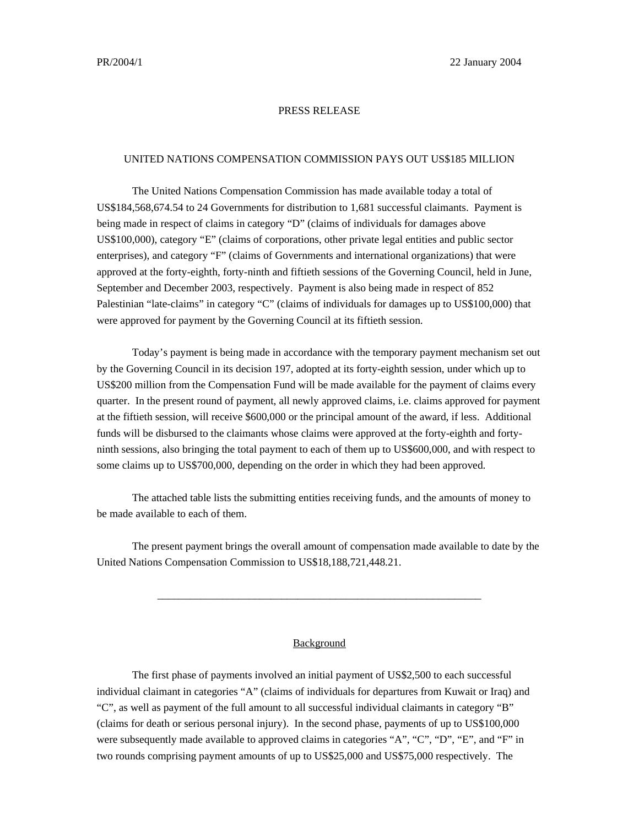## PRESS RELEASE

## UNITED NATIONS COMPENSATION COMMISSION PAYS OUT US\$185 MILLION

The United Nations Compensation Commission has made available today a total of US\$184,568,674.54 to 24 Governments for distribution to 1,681 successful claimants. Payment is being made in respect of claims in category "D" (claims of individuals for damages above US\$100,000), category "E" (claims of corporations, other private legal entities and public sector enterprises), and category "F" (claims of Governments and international organizations) that were approved at the forty-eighth, forty-ninth and fiftieth sessions of the Governing Council, held in June, September and December 2003, respectively.Payment is also being made in respect of 852 Palestinian "late-claims" in category "C" (claims of individuals for damages up to US\$100,000) that were approved for payment by the Governing Council at its fiftieth session.

Today's payment is being made in accordance with the temporary payment mechanism set out by the Governing Council in its decision 197, adopted at its forty-eighth session, under which up to US\$200 million from the Compensation Fund will be made available for the payment of claims every quarter. In the present round of payment, all newly approved claims, i.e. claims approved for payment at the fiftieth session, will receive \$600,000 or the principal amount of the award, if less. Additional funds will be disbursed to the claimants whose claims were approved at the forty-eighth and fortyninth sessions, also bringing the total payment to each of them up to US\$600,000, and with respect to some claims up to US\$700,000, depending on the order in which they had been approved.

The attached table lists the submitting entities receiving funds, and the amounts of money to be made available to each of them.

The present payment brings the overall amount of compensation made available to date by the United Nations Compensation Commission to US\$18,188,721,448.21.

\_\_\_\_\_\_\_\_\_\_\_\_\_\_\_\_\_\_\_\_\_\_\_\_\_\_\_\_\_\_\_\_\_\_\_\_\_\_\_\_\_\_\_\_\_\_\_\_\_\_\_\_\_\_\_\_\_\_\_\_

## Background

The first phase of payments involved an initial payment of US\$2,500 to each successful individual claimant in categories "A" (claims of individuals for departures from Kuwait or Iraq) and "C", as well as payment of the full amount to all successful individual claimants in category "B" (claims for death or serious personal injury). In the second phase, payments of up to US\$100,000 were subsequently made available to approved claims in categories "A", "C", "D", "E", and "F" in two rounds comprising payment amounts of up to US\$25,000 and US\$75,000 respectively. The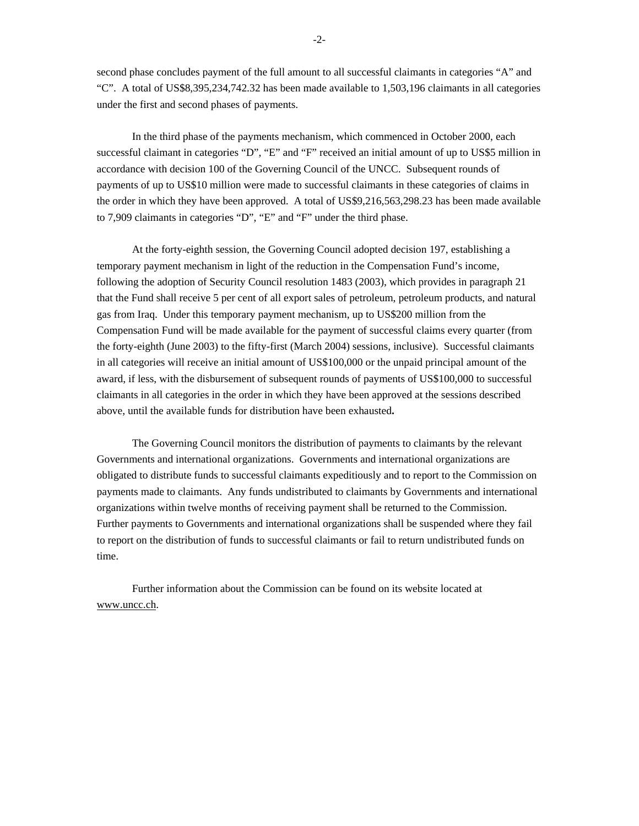second phase concludes payment of the full amount to all successful claimants in categories "A" and "C". A total of US\$8,395,234,742.32 has been made available to 1,503,196 claimants in all categories under the first and second phases of payments.

In the third phase of the payments mechanism, which commenced in October 2000, each successful claimant in categories "D", "E" and "F" received an initial amount of up to US\$5 million in accordance with decision 100 of the Governing Council of the UNCC. Subsequent rounds of payments of up to US\$10 million were made to successful claimants in these categories of claims in the order in which they have been approved. A total of US\$9,216,563,298.23 has been made available to 7,909 claimants in categories "D", "E" and "F" under the third phase.

At the forty-eighth session, the Governing Council adopted decision 197, establishing a temporary payment mechanism in light of the reduction in the Compensation Fund's income, following the adoption of Security Council resolution 1483 (2003), which provides in paragraph 21 that the Fund shall receive 5 per cent of all export sales of petroleum, petroleum products, and natural gas from Iraq. Under this temporary payment mechanism, up to US\$200 million from the Compensation Fund will be made available for the payment of successful claims every quarter (from the forty-eighth (June 2003) to the fifty-first (March 2004) sessions, inclusive). Successful claimants in all categories will receive an initial amount of US\$100,000 or the unpaid principal amount of the award, if less, with the disbursement of subsequent rounds of payments of US\$100,000 to successful claimants in all categories in the order in which they have been approved at the sessions described above, until the available funds for distribution have been exhausted**.**

The Governing Council monitors the distribution of payments to claimants by the relevant Governments and international organizations. Governments and international organizations are obligated to distribute funds to successful claimants expeditiously and to report to the Commission on payments made to claimants. Any funds undistributed to claimants by Governments and international organizations within twelve months of receiving payment shall be returned to the Commission. Further payments to Governments and international organizations shall be suspended where they fail to report on the distribution of funds to successful claimants or fail to return undistributed funds on time.

Further information about the Commission can be found on its website located at www.uncc.ch.